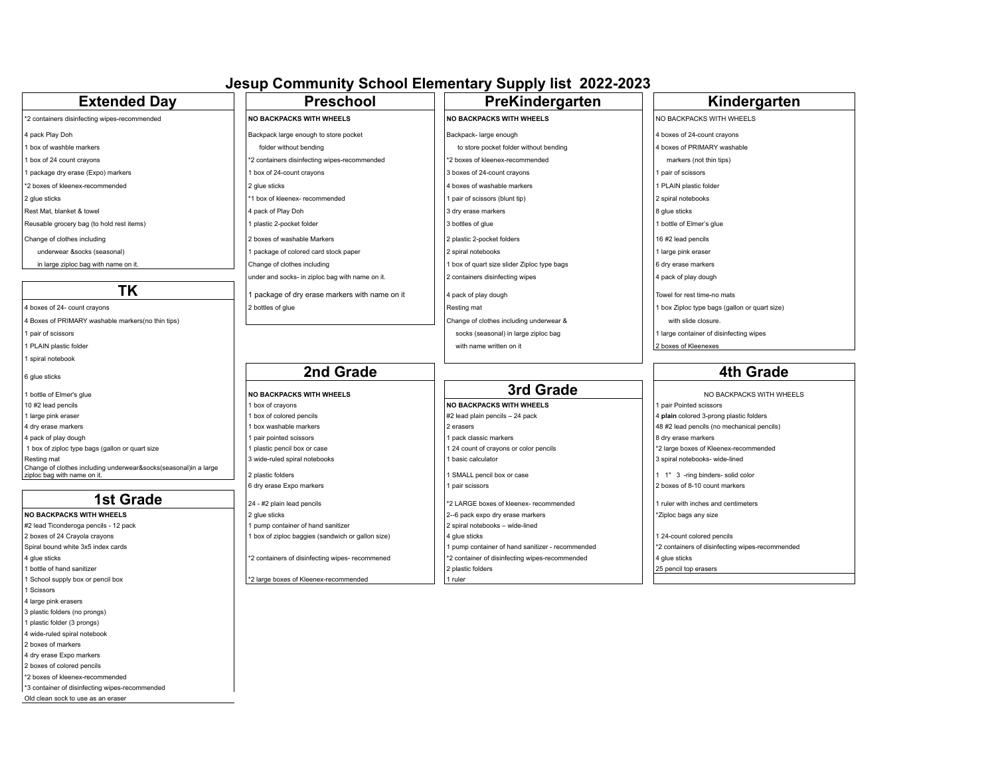## **Jesup Community School Elementary Supply list 2022-2023**

| <b>Extended Day</b>                                                                            | <b>Preschool</b>                                  | PreKindergarten                                  | Kindergarten                                    |
|------------------------------------------------------------------------------------------------|---------------------------------------------------|--------------------------------------------------|-------------------------------------------------|
| *2 containers disinfecting wipes-recommended                                                   | <b>NO BACKPACKS WITH WHEELS</b>                   | <b>NO BACKPACKS WITH WHEELS</b>                  | NO BACKPACKS WITH WHEELS                        |
| 4 pack Play Doh                                                                                | Backpack large enough to store pocket             | Backpack- large enough                           | 4 boxes of 24-count crayons                     |
| 1 box of washble markers                                                                       | folder without bending                            | to store pocket folder without bending           | 4 boxes of PRIMARY washable                     |
| 1 box of 24 count crayons                                                                      | *2 containers disinfecting wipes-recommended      | *2 boxes of kleenex-recommended                  | markers (not thin tips)                         |
| 1 package dry erase (Expo) markers                                                             | 1 box of 24-count crayons                         | 3 boxes of 24-count crayons                      | pair of scissors                                |
| *2 boxes of kleenex-recommended                                                                | 2 glue sticks                                     | 4 boxes of washable markers                      | PLAIN plastic folder                            |
| 2 alue sticks                                                                                  | *1 box of kleenex- recommended                    | 1 pair of scissors (blunt tip)                   | 2 spiral notebooks                              |
|                                                                                                |                                                   |                                                  |                                                 |
| Rest Mat, blanket & towel                                                                      | 4 pack of Play Doh                                | 3 dry erase markers                              | 8 glue sticks                                   |
| Reusable grocery bag (to hold rest items)                                                      | plastic 2-pocket folder                           | 3 bottles of glue                                | bottle of Elmer's glue                          |
| Change of clothes including                                                                    | 2 boxes of washable Markers                       | 2 plastic 2-pocket folders                       | 16 #2 lead pencils                              |
| underwear &socks (seasonal)                                                                    | package of colored card stock paper               | 2 spiral notebooks                               | 1 large pink eraser                             |
| in large ziploc bag with name on it                                                            | Change of clothes including                       | I box of quart size slider Ziploc type bags      | 6 dry erase markers                             |
|                                                                                                | under and socks- in ziploc bag with name on it.   | 2 containers disinfecting wipes                  | 4 pack of play dough                            |
| <b>TK</b>                                                                                      | I package of dry erase markers with name on it    | 4 pack of play dough                             | Towel for rest time-no mats                     |
| 4 boxes of 24- count crayons                                                                   | 2 bottles of glue                                 | Resting mat                                      | 1 box Ziploc type bags (gallon or quart size)   |
| 4 Boxes of PRIMARY washable markers(no thin tips)                                              |                                                   | Change of clothes including underwear &          | with slide closure.                             |
| 1 pair of scissors                                                                             |                                                   | socks (seasonal) in large ziploc bag             | 1 large container of disinfecting wipes         |
| 1 PLAIN plastic folder                                                                         |                                                   | with name written on it                          | 2 boxes of Kleenexes                            |
| 1 spiral notebook                                                                              |                                                   |                                                  |                                                 |
|                                                                                                | 2nd Grade                                         |                                                  | <b>4th Grade</b>                                |
| 6 glue sticks                                                                                  |                                                   |                                                  |                                                 |
| 1 bottle of Elmer's glue                                                                       | <b>NO BACKPACKS WITH WHEELS</b>                   | 3rd Grade                                        | NO BACKPACKS WITH WHEELS                        |
| 10 #2 lead pencils                                                                             | 1 box of crayons                                  | <b>NO BACKPACKS WITH WHEELS</b>                  | pair Pointed scissors                           |
| 1 large pink eraser                                                                            | 1 box of colored pencils                          | #2 lead plain pencils - 24 pack                  | 4 plain colored 3-prong plastic folders         |
| 4 dry erase markers                                                                            | 1 box washable markers                            | 2 erasers                                        | 48 #2 lead pencils (no mechanical pencils)      |
| 4 pack of play dough                                                                           | 1 pair pointed scissors                           | 1 pack classic markers                           | 8 dry erase markers                             |
| 1 box of ziploc type bags (gallon or quart size                                                | 1 plastic pencil box or case                      | 1 24 count of crayons or color pencils           | *2 large boxes of Kleenex-recommended           |
| Resting mat                                                                                    | 3 wide-ruled spiral notebooks                     | basic calculator                                 | 3 spiral notebooks- wide-lined                  |
| Change of clothes including underwear&socks(seasonal)in a large<br>ziploc bag with name on it. | 2 plastic folders                                 | 1 SMALL pencil box or case                       | 1 1" 3 -ring binders- solid color               |
|                                                                                                | 6 dry erase Expo markers                          | 1 pair scissors                                  | 2 boxes of 8-10 count markers                   |
| <b>1st Grade</b>                                                                               | 24 - #2 plain lead pencils                        | *2 LARGE boxes of kleenex- recommended           | 1 ruler with inches and centimeters             |
| <b>NO BACKPACKS WITH WHEELS</b>                                                                | 2 glue sticks                                     | 2--6 pack expo dry erase markers                 | Ziploc bags any size                            |
| #2 lead Ticonderoga pencils - 12 pack                                                          | 1 pump container of hand sanitizer                | 2 spiral notebooks - wide-lined                  |                                                 |
| 2 boxes of 24 Crayola crayons                                                                  | 1 box of ziploc baggies (sandwich or gallon size) | 4 glue sticks                                    | 1 24-count colored pencils                      |
| Spiral bound white 3x5 index cards                                                             |                                                   | 1 pump container of hand sanitizer - recommended | *2 containers of disinfecting wipes-recommended |
| 4 glue sticks                                                                                  | *2 containers of disinfecting wipes- recommened   | *2 container of disinfecting wipes-recommended   | 4 glue sticks                                   |
| 1 bottle of hand sanitizer                                                                     |                                                   | 2 plastic folders                                | 25 pencil top erasers                           |
| 1 School supply box or pencil box                                                              | *2 large boxes of Kleenex-recommended             | 1 ruler                                          |                                                 |
| 1 Scissors                                                                                     |                                                   |                                                  |                                                 |
|                                                                                                |                                                   |                                                  |                                                 |
| 4 large pink erasers                                                                           |                                                   |                                                  |                                                 |
| 3 plastic folders (no prongs)                                                                  |                                                   |                                                  |                                                 |
| 1 plastic folder (3 prongs)                                                                    |                                                   |                                                  |                                                 |
| 4 wide-ruled spiral notebook<br>2 boxes of markers                                             |                                                   |                                                  |                                                 |

- 4 dry erase Expo markers
- 2 boxes of colored pencils
- \*2 boxes of kleenex-recommended
- \*3 container of disinfecting wipes-recommended
- Old clean sock to use as an eraser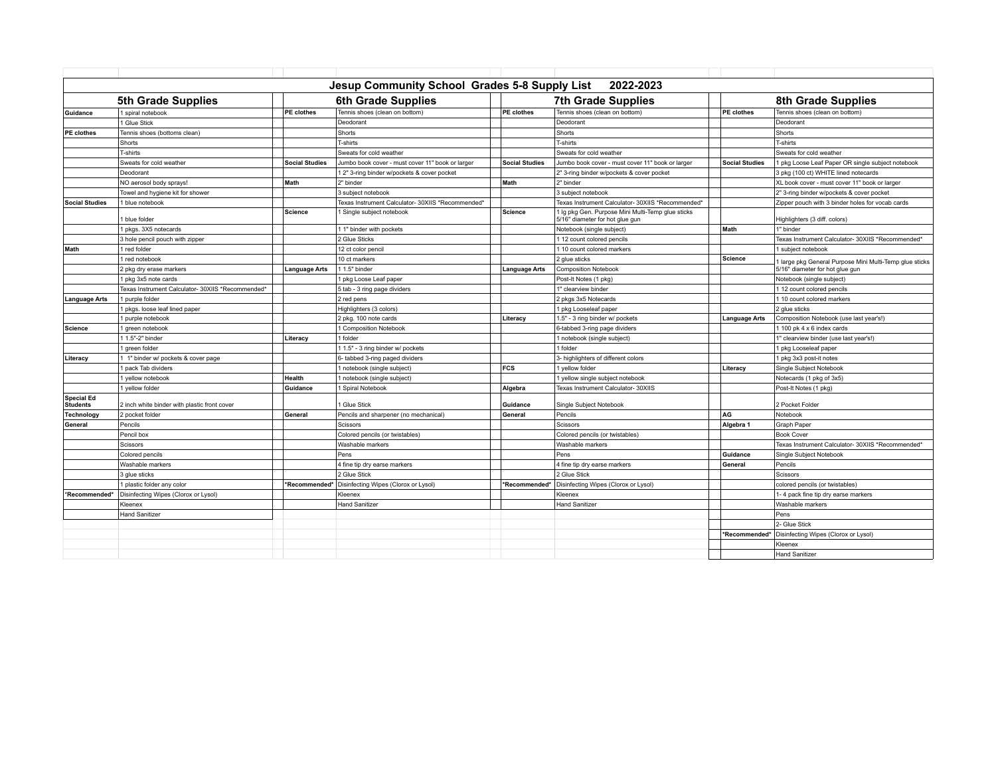| Jesup Community School Grades 5-8 Supply List<br>2022-2023 |                                                   |                       |                                                   |                       |                                                                                      |                       |                                                         |  |
|------------------------------------------------------------|---------------------------------------------------|-----------------------|---------------------------------------------------|-----------------------|--------------------------------------------------------------------------------------|-----------------------|---------------------------------------------------------|--|
|                                                            | 5th Grade Supplies                                |                       | <b>6th Grade Supplies</b>                         |                       | <b>7th Grade Supplies</b>                                                            |                       | 8th Grade Supplies                                      |  |
| Guidance                                                   | 1 spiral notebook                                 | <b>PE</b> clothes     | Tennis shoes (clean on bottom)                    | <b>PE</b> clothes     | Tennis shoes (clean on bottom)                                                       | <b>PE</b> clothes     | Tennis shoes (clean on bottom)                          |  |
|                                                            | 1 Glue Stick                                      |                       | Deodorant                                         |                       | Deodorant                                                                            |                       | Deodorant                                               |  |
| PE clothes                                                 | Tennis shoes (bottoms clean)                      |                       | Shorts                                            |                       | Shorts                                                                               |                       | Shorts                                                  |  |
|                                                            | Shorts                                            |                       | T-shirts                                          |                       | T-shirts                                                                             |                       | T-shirts                                                |  |
|                                                            | T-shirts                                          |                       | Sweats for cold weather                           |                       | Sweats for cold weather                                                              |                       | Sweats for cold weather                                 |  |
|                                                            | Sweats for cold weather                           | <b>Social Studies</b> | Jumbo book cover - must cover 11" book or larger  | <b>Social Studies</b> | Jumbo book cover - must cover 11" book or larger                                     | <b>Social Studies</b> | 1 pkg Loose Leaf Paper OR single subject notebook       |  |
|                                                            | Deodorant                                         |                       | 1 2" 3-ring binder w/pockets & cover pocket       |                       | 2" 3-ring binder w/pockets & cover pocket                                            |                       | 3 pkg (100 ct) WHITE lined notecards                    |  |
|                                                            | NO aerosol body sprays!                           | Math                  | 2" binder                                         | Math                  | 2" binder                                                                            |                       | XL book cover - must cover 11" book or larger           |  |
|                                                            | Towel and hygiene kit for shower                  |                       | 3 subject notebook                                |                       | 3 subject notebook                                                                   |                       | 2" 3-ring binder w/pockets & cover pocket               |  |
| <b>Social Studies</b>                                      | 1 blue notebook                                   |                       | Texas Instrument Calculator- 30XIIS *Recommended* |                       | Texas Instrument Calculator- 30XIIS *Recommended*                                    |                       | Zipper pouch with 3 binder holes for vocab cards        |  |
|                                                            | I blue folder                                     | <b>Science</b>        | 1 Single subject notebook                         | Science               | 1 Ig pkg Gen. Purpose Mini Multi-Temp glue sticks<br>5/16" diameter for hot glue gun |                       | Highlighters (3 diff. colors)                           |  |
|                                                            | 1 pkgs. 3X5 notecards                             |                       | 1 1" binder with pockets                          |                       | Notebook (single subject)                                                            | Math                  | 1" binder                                               |  |
|                                                            | 3 hole pencil pouch with zipper                   |                       | 2 Glue Sticks                                     |                       | 112 count colored pencils                                                            |                       | Texas Instrument Calculator- 30XIIS *Recommended*       |  |
| Math                                                       | 1 red folder                                      |                       | 12 ct color pencil                                |                       | 1 10 count colored markers                                                           |                       | 1 subject notebook                                      |  |
|                                                            | 1 red notebook                                    |                       | 10 ct markers                                     |                       | 2 glue sticks                                                                        | <b>Science</b>        | I large pkg General Purpose Mini Multi-Temp glue sticks |  |
|                                                            | 2 pkg dry erase markers                           | <b>Language Arts</b>  | 1 1.5" binder                                     | <b>Language Arts</b>  | <b>Composition Notebook</b>                                                          |                       | 5/16" diameter for hot glue gun                         |  |
|                                                            | 1 pkg 3x5 note cards                              |                       | 1 pkg Loose Leaf paper                            |                       | Post-It Notes (1 pkg)                                                                |                       | Notebook (single subject)                               |  |
|                                                            | Texas Instrument Calculator- 30XIIS *Recommended* |                       | 5 tab - 3 ring page dividers                      |                       | 1" clearview binder                                                                  |                       | 1 12 count colored pencils                              |  |
| <b>Language Arts</b>                                       | 1 purple folder                                   |                       | 2 red pens                                        |                       | 2 pkgs 3x5 Notecards                                                                 |                       | 1 10 count colored markers                              |  |
|                                                            | 1 pkgs. loose leaf lined paper                    |                       | Highlighters (3 colors)                           |                       | 1 pkg Looseleaf paper                                                                |                       | 2 glue sticks                                           |  |
|                                                            | purple notebook                                   |                       | 2 pkg. 100 note cards                             | Literacy              | 1.5" - 3 ring binder w/ pockets                                                      | <b>Language Arts</b>  | Composition Notebook (use last year's!)                 |  |
| Science                                                    | I green notebook                                  |                       | 1 Composition Notebook                            |                       | 6-tabbed 3-ring page dividers                                                        |                       | 1 100 pk 4 x 6 index cards                              |  |
|                                                            | 1 1.5"-2" binder                                  | Literacv              | 1 folder                                          |                       | 1 notebook (single subject)                                                          |                       | 1" clearview binder (use last year's!)                  |  |
|                                                            | green folder                                      |                       | 1 1.5" - 3 ring binder w/ pockets                 |                       | 1 folder                                                                             |                       | I pkg Looseleaf paper                                   |  |
| Literacy                                                   | 1 1" binder w/ pockets & cover page               |                       | 6- tabbed 3-ring paged dividers                   |                       | 3- highlighters of different colors                                                  |                       | 1 pkg 3x3 post-it notes                                 |  |
|                                                            | pack Tab dividers                                 |                       | 1 notebook (single subject)                       | <b>FCS</b>            | 1 yellow folder                                                                      | Literacy              | Single Subject Notebook                                 |  |
|                                                            | I vellow notebook                                 | Health                | 1 notebook (single subject)                       |                       | 1 yellow single subject notebook                                                     |                       | Notecards (1 pkg of 3x5)                                |  |
|                                                            | I vellow folder                                   | Guidance              | 1 Spiral Notebook                                 | Algebra               | Texas Instrument Calculator- 30XIIS                                                  |                       | Post-It Notes (1 pkg)                                   |  |
| <b>Special Ed</b><br><b>Students</b>                       | 2 inch white binder with plastic front cover      |                       | 1 Glue Stick                                      | Guidance              | Single Subject Notebook                                                              |                       | 2 Pocket Folder                                         |  |
| Technology                                                 | 2 pocket folder                                   | General               | Pencils and sharpener (no mechanical)             | General               | Pencils                                                                              | AG                    | Notebook                                                |  |
| General                                                    | Pencils                                           |                       | <b>Scissors</b>                                   |                       | Scissors                                                                             | Algebra 1             | Graph Paper                                             |  |
|                                                            | Pencil box                                        |                       | Colored pencils (or twistables)                   |                       | Colored pencils (or twistables)                                                      |                       | <b>Book Cover</b>                                       |  |
|                                                            | Scissors                                          |                       | Washable markers                                  |                       | Washable markers                                                                     |                       | Texas Instrument Calculator- 30XIIS *Recommended*       |  |
|                                                            | Colored pencils                                   |                       | Pens                                              |                       | Pens                                                                                 | Guidance              | Single Subject Notebook                                 |  |
|                                                            | Washable markers                                  |                       | 4 fine tip dry earse markers                      |                       | 4 fine tip dry earse markers                                                         | General               | Pencils                                                 |  |
|                                                            | 3 alue sticks                                     |                       | 2 Glue Stick                                      |                       | 2 Glue Stick                                                                         |                       | Scissors                                                |  |
|                                                            | 1 plastic folder any color                        | *Recommended*         | Disinfecting Wipes (Clorox or Lysol)              | *Recommended*         | Disinfecting Wipes (Clorox or Lysol)                                                 |                       | colored pencils (or twistables)                         |  |
| *Recommended*                                              | Disinfecting Wipes (Clorox or Lysol)              |                       | Kleenex                                           |                       | Kleenex                                                                              |                       | 1-4 pack fine tip dry earse markers                     |  |
|                                                            | Kleenex                                           |                       | <b>Hand Sanitizer</b>                             |                       | <b>Hand Sanitizer</b>                                                                |                       | Washable markers                                        |  |
|                                                            | <b>Hand Sanitizer</b>                             |                       |                                                   |                       |                                                                                      |                       | Pens                                                    |  |
|                                                            |                                                   |                       |                                                   |                       |                                                                                      |                       | 2- Glue Stick                                           |  |
|                                                            |                                                   |                       |                                                   |                       |                                                                                      | *Recommended*         | Disinfecting Wipes (Clorox or Lysol)                    |  |
|                                                            |                                                   |                       |                                                   |                       |                                                                                      |                       | Kleenex                                                 |  |
|                                                            |                                                   |                       |                                                   |                       |                                                                                      |                       | <b>Hand Sanitizer</b>                                   |  |
|                                                            |                                                   |                       |                                                   |                       |                                                                                      |                       |                                                         |  |